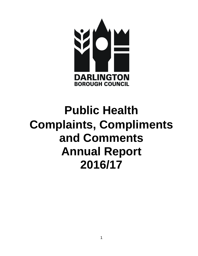

# **Public Health Complaints, Compliments and Comments Annual Report 2016/17**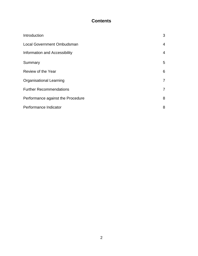## **Contents**

| Introduction                      | 3               |
|-----------------------------------|-----------------|
| <b>Local Government Ombudsman</b> | $\overline{4}$  |
| Information and Accessibility     | $\overline{4}$  |
| Summary                           | 5               |
| Review of the Year                | $6\phantom{1}6$ |
| <b>Organisational Learning</b>    | $\overline{7}$  |
| <b>Further Recommendations</b>    | $\overline{7}$  |
| Performance against the Procedure | 8               |
| Performance Indicator             | 8               |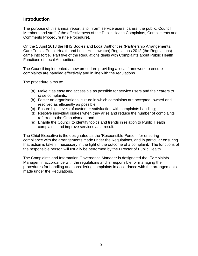## **Introduction**

The purpose of this annual report is to inform service users, carers, the public, Council Members and staff of the effectiveness of the Public Health Complaints, Compliments and Comments Procedure (the Procedure).

On the 1 April 2013 the NHS Bodies and Local Authorities (Partnership Arrangements, Care Trusts, Public Health and Local Healthwatch) Regulations 2012 (the Regulations) came into force. Part five of the Regulations deals with Complaints about Public Health Functions of Local Authorities.

The Council implemented a new procedure providing a local framework to ensure complaints are handled effectively and in line with the regulations.

The procedure aims to:

- (a) Make it as easy and accessible as possible for service users and their carers to raise complaints;
- (b) Foster an organisational culture in which complaints are accepted, owned and resolved as efficiently as possible;
- (c) Ensure high levels of customer satisfaction with complaints handling;
- (d) Resolve individual issues when they arise and reduce the number of complaints referred to the Ombudsman; and
- (e) Enable the Council to identify topics and trends in relation to Public Health complaints and improve services as a result.

The Chief Executive is the designated as the 'Responsible Person' for ensuring compliance with the arrangements made under the Regulations, and in particular ensuring that action is taken if necessary in the light of the outcome of a complaint. The functions of the responsible person will usually be performed by the Director of Public Health.

The Complaints and Information Governance Manager is designated the 'Complaints Manager' in accordance with the regulations and is responsible for managing the procedures for handling and considering complaints in accordance with the arrangements made under the Regulations.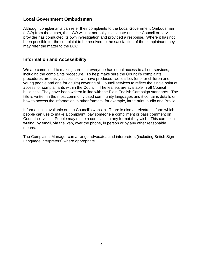## **Local Government Ombudsman**

Although complainants can refer their complaints to the Local Government Ombudsman (LGO) from the outset, the LGO will not normally investigate until the Council or service provider has conducted its own investigation and provided a response. Where it has not been possible for the complaint to be resolved to the satisfaction of the complainant they may refer the matter to the LGO.

#### **Information and Accessibility**

We are committed to making sure that everyone has equal access to all our services, including the complaints procedure. To help make sure the Council's complaints procedures are easily accessible we have produced two leaflets (one for children and young people and one for adults) covering all Council services to reflect the single point of access for complainants within the Council. The leaflets are available in all Council buildings. They have been written in line with the Plain English Campaign standards. The title is written in the most commonly used community languages and it contains details on how to access the information in other formats, for example, large print, audio and Braille.

Information is available on the Council's website. There is also an electronic form which people can use to make a complaint, pay someone a compliment or pass comment on Council services. People may make a complaint in any format they wish. This can be in writing, by email, via the web, over the phone, in person or by any other reasonable means.

The Complaints Manager can arrange advocates and interpreters (including British Sign Language interpreters) where appropriate.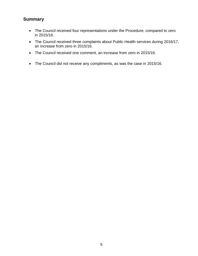## **Summary**

- The Council received four representations under the Procedure, compared to zero in 2015/16.
- The Council received three complaints about Public Health services during 2016/17, an increase from zero in 2015/16.
- The Council received one comment, an increase from zero in 2015/16.
- The Council did not receive any compliments, as was the case in 2015/16.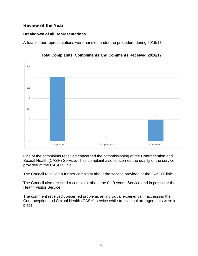## **Review of the Year**

#### **Breakdown of all Representations**

A total of four representations were handled under the procedure during 2016/17.



#### **Total Complaints, Compliments and Comments Received 2016/17**

One of the complaints received concerned the commissioning of the Contraception and Sexual Health (CASH) Service. This complaint also concerned the quality of the service provided at the CASH Clinic.

The Council received a further complaint about the service provided at the CASH Clinic.

The Council also received a complaint about the 0-19 years' Service and in particular the Health Visitor Service.

The comment received concerned problems an individual experience in accessing the Contraception and Sexual Health (CASH) service while transitional arrangements were in place.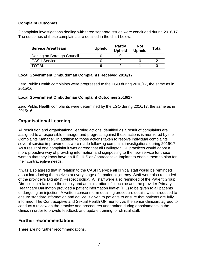#### **Complaint Outcomes**

2 complaint investigations dealing with three separate issues were concluded during 2016/17. The outcomes of these complaints are detailed in the chart below.

| <b>Service Area/Team</b>   | <b>Upheld</b> | <b>Partly</b><br><b>Upheld</b> | <b>Not</b><br><b>Upheld</b> | <b>Total</b> |
|----------------------------|---------------|--------------------------------|-----------------------------|--------------|
| Darlington Borough Council |               |                                |                             |              |
| <b>CASH Service</b>        |               |                                |                             |              |
| <b>TOTAL</b>               |               |                                |                             |              |

#### **Local Government Ombudsman Complaints Received 2016/17**

Zero Public Health complaints were progressed to the LGO during 2016/17, the same as in 2015/16.

#### **Local Government Ombudsman Complaint Outcomes 2016/17**

Zero Public Health complaints were determined by the LGO during 2016/17, the same as in 2015/16.

## **Organisational Learning**

All resolution and organisational learning actions identified as a result of complaints are assigned to a responsible manager and progress against those actions is monitored by the Complaints Manager. In addition to those actions taken to resolve individual complaints several service improvements were made following complaint investigations during 2016/17. As a result of one complaint it was agreed that all Darlington GP practices would adopt a more proactive way of providing information and signposting to the new service for those women that they know have an IUD, IUS or Contraceptive Implant to enable them to plan for their contraceptive needs.

It was also agreed that in relation to the CASH Service all clinical staff would be reminded about introducing themselves at every stage of a patient's journey. Staff were also reminded of the provider's Dignity & Respect policy. All staff were also reminded of the Patient Group Direction in relation to the supply and administration of lidocaine and the provider Primary Healthcare Darlington provided a patient information leaflet (PIL) to be given to all patients undergoing an injection. A written consent form detailing procedure details was introduced to ensure standard information and advice is given to patients to ensure that patients are fully informed. The Contraceptive and Sexual Health GP mentor, as the senior clinician, agreed to conduct a review on the practice and procedures undertaken during appointments in the clinics in order to provide feedback and update training for clinical staff.

## **Further recommendations**

There are no further recommendations.